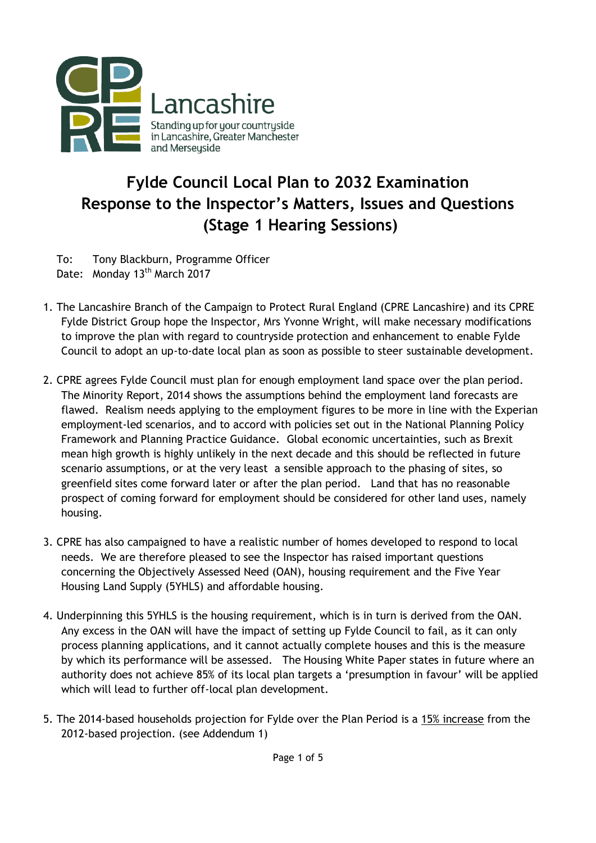

## **Fylde Council Local Plan to 2032 Examination Response to the Inspector's Matters, Issues and Questions (Stage 1 Hearing Sessions)**

To: Tony Blackburn, Programme Officer Date: Monday 13<sup>th</sup> March 2017

- 1. The Lancashire Branch of the Campaign to Protect Rural England (CPRE Lancashire) and its CPRE Fylde District Group hope the Inspector, Mrs Yvonne Wright, will make necessary modifications to improve the plan with regard to countryside protection and enhancement to enable Fylde Council to adopt an up-to-date local plan as soon as possible to steer sustainable development.
- 2. CPRE agrees Fylde Council must plan for enough employment land space over the plan period. The Minority Report, 2014 shows the assumptions behind the employment land forecasts are flawed. Realism needs applying to the employment figures to be more in line with the Experian employment-led scenarios, and to accord with policies set out in the National Planning Policy Framework and Planning Practice Guidance. Global economic uncertainties, such as Brexit mean high growth is highly unlikely in the next decade and this should be reflected in future scenario assumptions, or at the very least a sensible approach to the phasing of sites, so greenfield sites come forward later or after the plan period. Land that has no reasonable prospect of coming forward for employment should be considered for other land uses, namely housing.
- 3. CPRE has also campaigned to have a realistic number of homes developed to respond to local needs. We are therefore pleased to see the Inspector has raised important questions concerning the Objectively Assessed Need (OAN), housing requirement and the Five Year Housing Land Supply (5YHLS) and affordable housing.
- 4. Underpinning this 5YHLS is the housing requirement, which is in turn is derived from the OAN. Any excess in the OAN will have the impact of setting up Fylde Council to fail, as it can only process planning applications, and it cannot actually complete houses and this is the measure by which its performance will be assessed. The Housing White Paper states in future where an authority does not achieve 85% of its local plan targets a 'presumption in favour' will be applied which will lead to further off-local plan development.
- 5. The 2014-based households projection for Fylde over the Plan Period is a 15% increase from the 2012-based projection. (see Addendum 1)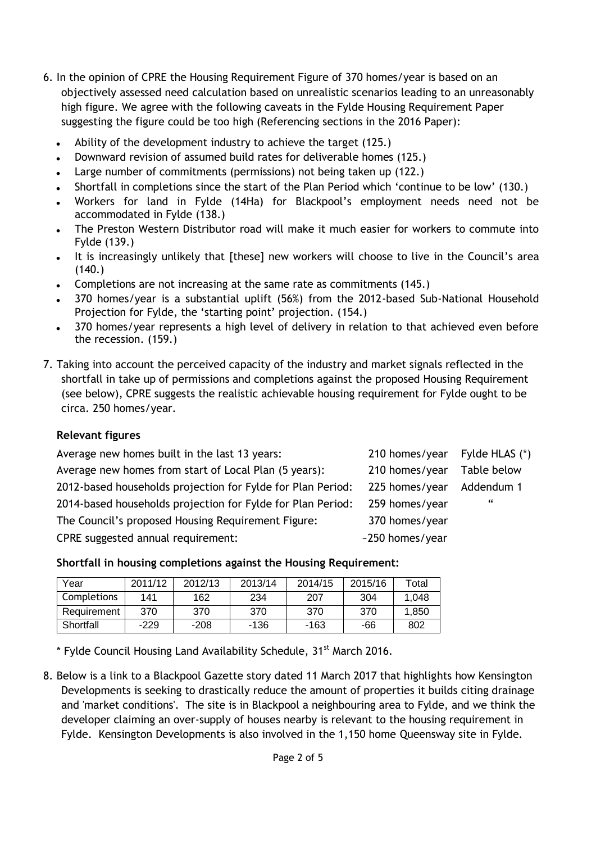- 6. In the opinion of CPRE the Housing Requirement Figure of 370 homes/year is based on an objectively assessed need calculation based on unrealistic scenarios leading to an unreasonably high figure. We agree with the following caveats in the Fylde Housing Requirement Paper suggesting the figure could be too high (Referencing sections in the 2016 Paper):
	- Ability of the development industry to achieve the target (125.)
	- Downward revision of assumed build rates for deliverable homes (125.)
	- Large number of commitments (permissions) not being taken up (122.)
	- Shortfall in completions since the start of the Plan Period which 'continue to be low' (130.)  $\bullet$
	- Workers for land in Fylde (14Ha) for Blackpool's employment needs need not be accommodated in Fylde (138.)
	- The Preston Western Distributor road will make it much easier for workers to commute into Fylde (139.)
	- It is increasingly unlikely that [these] new workers will choose to live in the Council's area  $(140.)$
	- Completions are not increasing at the same rate as commitments (145.)
	- 370 homes/year is a substantial uplift (56%) from the 2012-based Sub-National Household Projection for Fylde, the 'starting point' projection. (154.)
	- 370 homes/year represents a high level of delivery in relation to that achieved even before the recession. (159.)
- 7. Taking into account the perceived capacity of the industry and market signals reflected in the shortfall in take up of permissions and completions against the proposed Housing Requirement (see below), CPRE suggests the realistic achievable housing requirement for Fylde ought to be circa. 250 homes/year.

## **Relevant figures**

| 210 homes/year Fylde HLAS (*)                               |             |
|-------------------------------------------------------------|-------------|
| 210 homes/year                                              | Table below |
| 225 homes/year                                              | Addendum 1  |
| 259 homes/year                                              | - 66        |
| 370 homes/year                                              |             |
| ~250 homes/year                                             |             |
| 2014-based households projection for Fylde for Plan Period: |             |

**Shortfall in housing completions against the Housing Requirement:**

| Year        | 2011/12 | 2012/13 | 2013/14 | 2014/15 | 2015/16 | Total |
|-------------|---------|---------|---------|---------|---------|-------|
| Completions | 141     | 162     | 234     | 207     | 304     | 1.048 |
| Requirement | 370     | 370     | 370     | 370     | 370     | 1.850 |
| Shortfall   | $-229$  | $-208$  | -136    | -163    | -66     | 802   |

 $*$  Fylde Council Housing Land Availability Schedule, 31 $*$  March 2016.

8. Below is a link to a Blackpool Gazette story dated 11 March 2017 that highlights how Kensington Developments is seeking to drastically reduce the amount of properties it builds citing drainage and 'market conditions'. The site is in Blackpool a neighbouring area to Fylde, and we think the developer claiming an over-supply of houses nearby is relevant to the housing requirement in Fylde. Kensington Developments is also involved in the 1,150 home Queensway site in Fylde.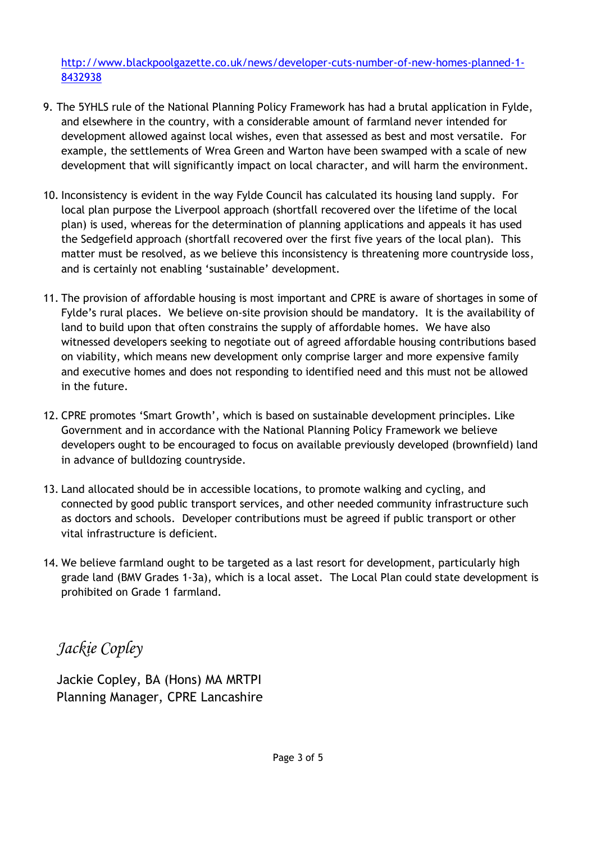[http://www.blackpoolgazette.co.uk/news/developer-cuts-number-of-new-homes-planned-1-](http://www.blackpoolgazette.co.uk/news/developer-cuts-number-of-new-homes-planned-1-8432938) [8432938](http://www.blackpoolgazette.co.uk/news/developer-cuts-number-of-new-homes-planned-1-8432938)

- 9. The 5YHLS rule of the National Planning Policy Framework has had a brutal application in Fylde, and elsewhere in the country, with a considerable amount of farmland never intended for development allowed against local wishes, even that assessed as best and most versatile. For example, the settlements of Wrea Green and Warton have been swamped with a scale of new development that will significantly impact on local character, and will harm the environment.
- 10. Inconsistency is evident in the way Fylde Council has calculated its housing land supply. For local plan purpose the Liverpool approach (shortfall recovered over the lifetime of the local plan) is used, whereas for the determination of planning applications and appeals it has used the Sedgefield approach (shortfall recovered over the first five years of the local plan). This matter must be resolved, as we believe this inconsistency is threatening more countryside loss, and is certainly not enabling 'sustainable' development.
- 11. The provision of affordable housing is most important and CPRE is aware of shortages in some of Fylde's rural places. We believe on-site provision should be mandatory. It is the availability of land to build upon that often constrains the supply of affordable homes. We have also witnessed developers seeking to negotiate out of agreed affordable housing contributions based on viability, which means new development only comprise larger and more expensive family and executive homes and does not responding to identified need and this must not be allowed in the future.
- 12. CPRE promotes 'Smart Growth', which is based on sustainable development principles. Like Government and in accordance with the National Planning Policy Framework we believe developers ought to be encouraged to focus on available previously developed (brownfield) land in advance of bulldozing countryside.
- 13. Land allocated should be in accessible locations, to promote walking and cycling, and connected by good public transport services, and other needed community infrastructure such as doctors and schools. Developer contributions must be agreed if public transport or other vital infrastructure is deficient.
- 14. We believe farmland ought to be targeted as a last resort for development, particularly high grade land (BMV Grades 1-3a), which is a local asset. The Local Plan could state development is prohibited on Grade 1 farmland.

*Jackie Copley*

Jackie Copley, BA (Hons) MA MRTPI Planning Manager, CPRE Lancashire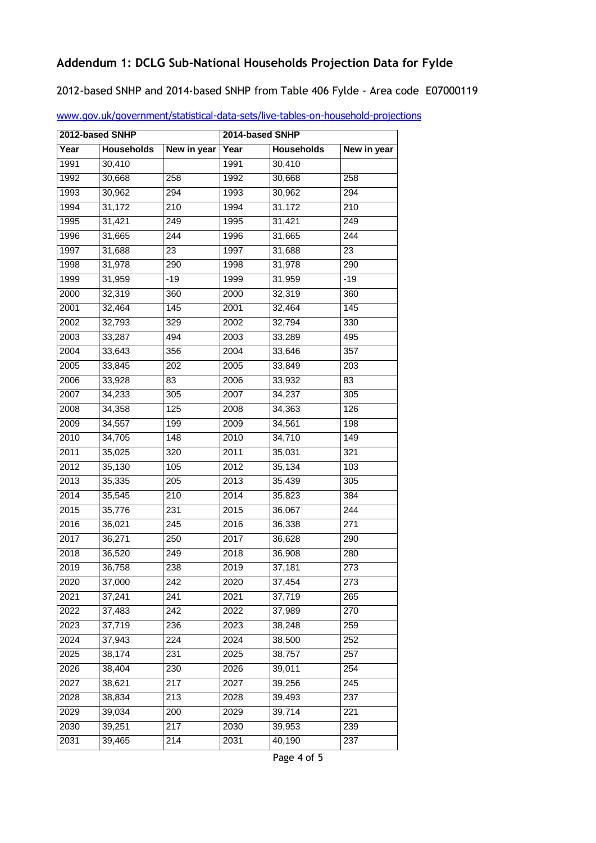## **Addendum 1: DCLG Sub-National Households Projection Data for Fylde**

2012-based SNHP and 2014-based SNHP from Table 406 Fylde - Area code E07000119

| 2012-based SNHP |                   | 2014-based SNHP  |      |                   |                  |
|-----------------|-------------------|------------------|------|-------------------|------------------|
| Year            | <b>Households</b> | New in year      | Year | <b>Households</b> | New in year      |
| 1991            | 30,410            |                  | 1991 | 30,410            |                  |
| 1992            | 30,668            | 258              | 1992 | 30,668            | 258              |
| 1993            | 30,962            | 294              | 1993 | 30,962            | 294              |
| 1994            | 31,172            | 210              | 1994 | 31,172            | 210              |
| 1995            | 31,421            | 249              | 1995 | 31,421            | 249              |
| 1996            | 31,665            | 244              | 1996 | 31,665            | 244              |
| 1997            | 31,688            | 23               | 1997 | 31,688            | 23               |
| 1998            | 31,978            | 290              | 1998 | 31,978            | 290              |
| 1999            | 31,959            | $-19$            | 1999 | 31,959            | $-19$            |
| 2000            | 32,319            | 360              | 2000 | 32,319            | 360              |
| 2001            | 32,464            | 145              | 2001 | 32,464            | 145              |
| 2002            | 32,793            | 329              | 2002 | 32,794            | 330              |
| 2003            | 33,287            | 494              | 2003 | 33,289            | 495              |
| 2004            | 33,643            | 356              | 2004 | 33,646            | 357              |
| 2005            | 33,845            | 202              | 2005 | 33,849            | $\overline{203}$ |
| 2006            | 33,928            | 83               | 2006 | 33,932            | 83               |
| 2007            | 34,233            | 305              | 2007 | 34,237            | 305              |
| 2008            | 34,358            | $\overline{1}25$ | 2008 | 34,363            | 126              |
| 2009            | 34,557            | 199              | 2009 | 34,561            | 198              |
| 2010            | 34,705            | $\overline{148}$ | 2010 | 34,710            | 149              |
| 2011            | 35,025            | 320              | 2011 | 35,031            | 321              |
| 2012            | 35,130            | 105              | 2012 | 35,134            | 103              |
| 2013            | 35,335            | 205              | 2013 | 35,439            | 305              |
| 2014            | 35,545            | 210              | 2014 | 35,823            | 384              |
| 2015            | 35,776            | 231              | 2015 | 36,067            | 244              |
| 2016            | 36,021            | 245              | 2016 | 36,338            | 271              |
| 2017            | 36,271            | 250              | 2017 | 36,628            | 290              |
| 2018            | 36,520            | 249              | 2018 | 36,908            | 280              |
| 2019            | 36,758            | 238              | 2019 | 37,181            | $\overline{273}$ |
| 2020            | 37,000            | 242              | 2020 | 37,454            | 273              |
| 2021            | 37,241            | 241              | 2021 | 37,719            | 265              |
| 2022            | 37,483            | $\overline{242}$ | 2022 | 37,989            | 270              |
| 2023            | 37,719            | 236              | 2023 | 38,248            | 259              |
| 2024            | 37,943            | 224              | 2024 | 38,500            | 252              |
| 2025            | 38,174            | 231              | 2025 | 38,757            | 257              |
| 2026            | 38,404            | 230              | 2026 | 39,011            | 254              |
| 2027            | 38,621            | 217              | 2027 | 39,256            | $\overline{245}$ |
| 2028            | 38,834            | 213              | 2028 | 39,493            | 237              |
| 2029            | 39,034            | 200              | 2029 | 39,714            | 221              |
| 2030            | 39,251            | 217              | 2030 | 39,953            | 239              |
| 2031            | 39,465            | 214              | 2031 | 40,190            | 237              |

[www.gov.uk/government/statistical-data-sets/live-tables-on-household-projections](http://www.gov.uk/government/statistical-data-sets/live-tables-on-household-projections)

Page 4 of 5